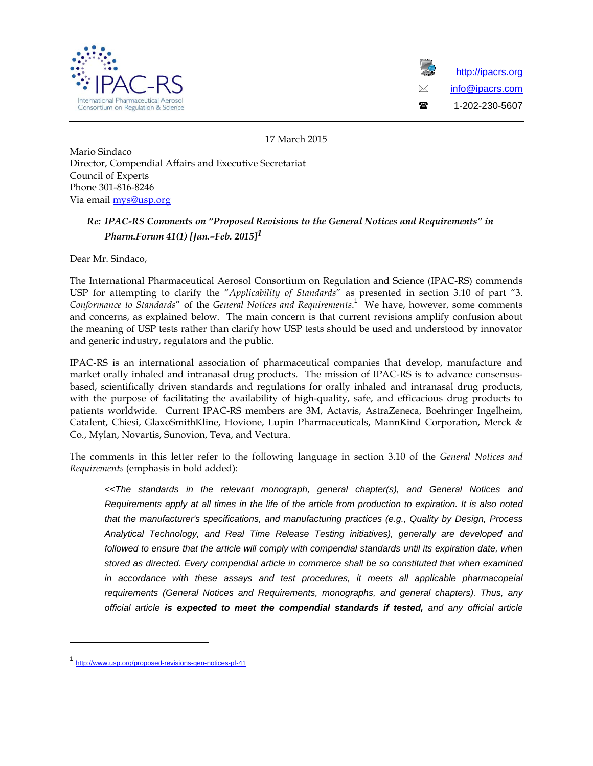



<span id="page-0-0"></span>17 March 2015

Mario Sindaco Director, Compendial Affairs and Executive Secretariat Council of Experts Phone 301-816-8246 Via emai[l mys@usp.org](mailto:mys@usp.org)

## *Re: IPAC-RS Comments on "Proposed Revisions to the General Notices and Requirements" in Pharm.Forum 41(1) [Jan.–Feb. 2015][1](#page-0-1)*

Dear Mr. Sindaco,

The International Pharmaceutical Aerosol Consortium on Regulation and Science (IPAC-RS) commends USP for attempting to clarify the "*Applicability of Standards*" as presented in section 3.10 of part "3. *Conformance to Standards*" of the *General Notices and Requirements*. 1 We have, however, some comments and concerns, as explained below. The main concern is that current revisions amplify confusion about the meaning of USP tests rather than clarify how USP tests should be used and understood by innovator and generic industry, regulators and the public.

IPAC-RS is an international association of pharmaceutical companies that develop, manufacture and market orally inhaled and intranasal drug products. The mission of IPAC-RS is to advance consensusbased, scientifically driven standards and regulations for orally inhaled and intranasal drug products, with the purpose of facilitating the availability of high-quality, safe, and efficacious drug products to patients worldwide. Current IPAC-RS members are 3M, Actavis, AstraZeneca, Boehringer Ingelheim, Catalent, Chiesi, GlaxoSmithKline, Hovione, Lupin Pharmaceuticals, MannKind Corporation, Merck & Co., Mylan, Novartis, Sunovion, Teva, and Vectura.

The comments in this letter refer to the following language in section 3.10 of the *General Notices and Requirements* (emphasis in bold added):

<<*The standards in the relevant monograph, general chapter(s), and General Notices and Requirements apply at all times in the life of the article from production to expiration. It is also noted that the manufacturer's specifications, and manufacturing practices (e.g., Quality by Design, Process Analytical Technology, and Real Time Release Testing initiatives), generally are developed and*  followed to ensure that the article will comply with compendial standards until its expiration date, when *stored as directed. Every compendial article in commerce shall be so constituted that when examined*  in accordance with these assays and test procedures, it meets all applicable pharmacopeial *requirements (General Notices and Requirements, monographs, and general chapters). Thus, any official article is expected to meet the compendial standards if tested, and any official article* 

j

<span id="page-0-1"></span><sup>1</sup> <http://www.usp.org/proposed-revisions-gen-notices-pf-41>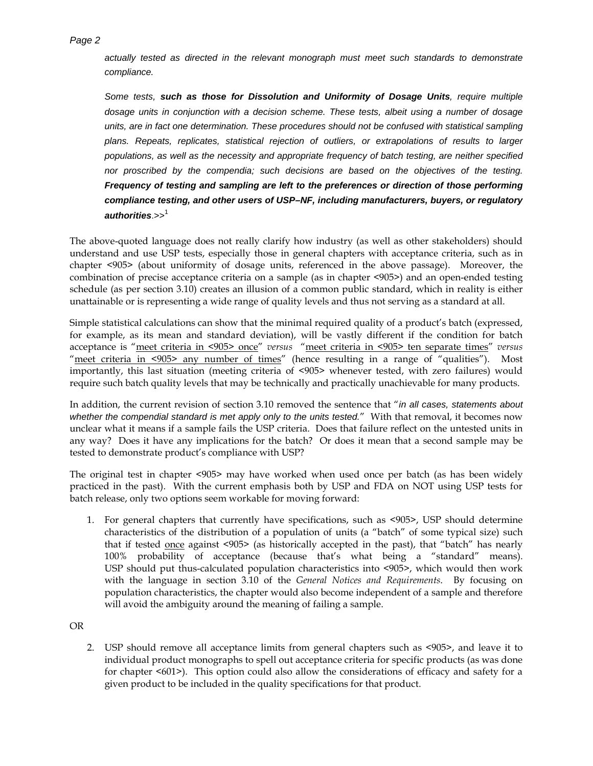*actually tested as directed in the relevant monograph must meet such standards to demonstrate compliance.*

*Some tests, such as those for Dissolution and Uniformity of Dosage Units, require multiple dosage units in conjunction with a decision scheme. These tests, albeit using a number of dosage units, are in fact one determination. These procedures should not be confused with statistical sampling plans. Repeats, replicates, statistical rejection of outliers, or extrapolations of results to larger populations, as well as the necessity and appropriate frequency of batch testing, are neither specified nor proscribed by the compendia; such decisions are based on the objectives of the testing. Frequency of testing and sampling are left to the preferences or direction of those performing compliance testing, and other users of USP–NF, including manufacturers, buyers, or regulatory authorities*.>> [1](#page-0-0)

The above-quoted language does not really clarify how industry (as well as other stakeholders) should understand and use USP tests, especially those in general chapters with acceptance criteria, such as in chapter <905> (about uniformity of dosage units, referenced in the above passage). Moreover, the combination of precise acceptance criteria on a sample (as in chapter <905>) and an open-ended testing schedule (as per section 3.10) creates an illusion of a common public standard, which in reality is either unattainable or is representing a wide range of quality levels and thus not serving as a standard at all.

Simple statistical calculations can show that the minimal required quality of a product's batch (expressed, for example, as its mean and standard deviation), will be vastly different if the condition for batch acceptance is "meet criteria in <905> once" *versus* "meet criteria in <905> ten separate times" *versus* "meet criteria in <905> any number of times" (hence resulting in a range of "qualities"). Most importantly, this last situation (meeting criteria of <905> whenever tested, with zero failures) would require such batch quality levels that may be technically and practically unachievable for many products.

In addition, the current revision of section 3.10 removed the sentence that "*in all cases, statements about whether the compendial standard is met apply only to the units tested.*" With that removal, it becomes now unclear what it means if a sample fails the USP criteria. Does that failure reflect on the untested units in any way? Does it have any implications for the batch? Or does it mean that a second sample may be tested to demonstrate product's compliance with USP?

The original test in chapter <905> may have worked when used once per batch (as has been widely practiced in the past). With the current emphasis both by USP and FDA on NOT using USP tests for batch release, only two options seem workable for moving forward:

1. For general chapters that currently have specifications, such as <905>, USP should determine characteristics of the distribution of a population of units (a "batch" of some typical size) such that if tested once against <905> (as historically accepted in the past), that "batch" has nearly 100% probability of acceptance (because that's what being a "standard" means). USP should put thus-calculated population characteristics into <905>, which would then work with the language in section 3.10 of the *General Notices and Requirements*. By focusing on population characteristics, the chapter would also become independent of a sample and therefore will avoid the ambiguity around the meaning of failing a sample.

OR

2. USP should remove all acceptance limits from general chapters such as <905>, and leave it to individual product monographs to spell out acceptance criteria for specific products (as was done for chapter <601>). This option could also allow the considerations of efficacy and safety for a given product to be included in the quality specifications for that product.